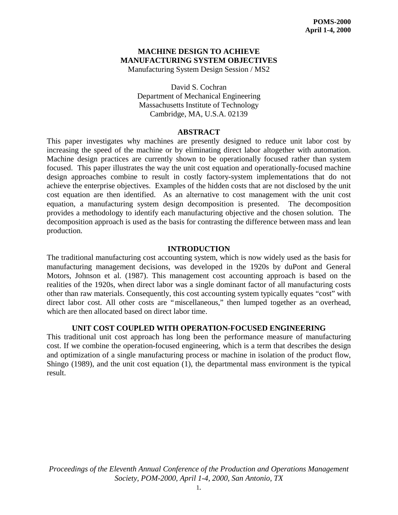# **MACHINE DESIGN TO ACHIEVE MANUFACTURING SYSTEM OBJECTIVES**

Manufacturing System Design Session / MS2

David S. Cochran Department of Mechanical Engineering Massachusetts Institute of Technology Cambridge, MA, U.S.A. 02139

## **ABSTRACT**

This paper investigates why machines are presently designed to reduce unit labor cost by increasing the speed of the machine or by eliminating direct labor altogether with automation. Machine design practices are currently shown to be operationally focused rather than system focused. This paper illustrates the way the unit cost equation and operationally-focused machine design approaches combine to result in costly factory-system implementations that do not achieve the enterprise objectives. Examples of the hidden costs that are not disclosed by the unit cost equation are then identified. As an alternative to cost management with the unit cost equation, a manufacturing system design decomposition is presented. The decomposition provides a methodology to identify each manufacturing objective and the chosen solution. The decomposition approach is used as the basis for contrasting the difference between mass and lean production.

## **INTRODUCTION**

The traditional manufacturing cost accounting system, which is now widely used as the basis for manufacturing management decisions, was developed in the 1920s by duPont and General Motors, Johnson et al. (1987). This management cost accounting approach is based on the realities of the 1920s, when direct labor was a single dominant factor of all manufacturing costs other than raw materials. Consequently, this cost accounting system typically equates "cost" with direct labor cost. All other costs are "miscellaneous," then lumped together as an overhead, which are then allocated based on direct labor time.

## **UNIT COST COUPLED WITH OPERATION-FOCUSED ENGINEERING**

This traditional unit cost approach has long been the performance measure of manufacturing cost. If we combine the operation-focused engineering, which is a term that describes the design and optimization of a single manufacturing process or machine in isolation of the product flow, Shingo (1989), and the unit cost equation (1), the departmental mass environment is the typical result.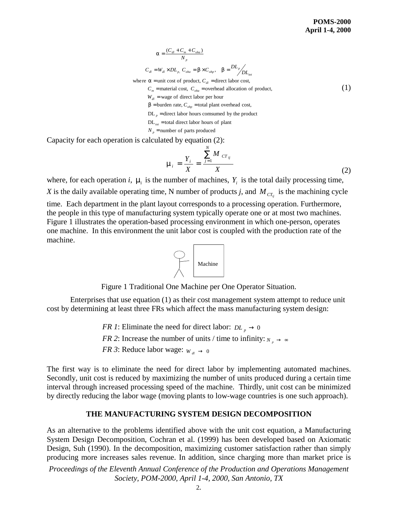(1)

$$
\mathbf{a} = \frac{(C_{dl} + C_m + C_{oha})}{N_p}
$$
  
\n
$$
C_{dl} = W_{dl} \times DL_p, C_{oha} = \mathbf{b} \times C_{olnp}, \quad \mathbf{b} = \frac{DL_p}{DL_{tot}}
$$
  
\nwhere  $\mathbf{a}$  = unit cost of product,  $C_{dl}$  = direct labor cost,  
\n $C_m$  = material cost,  $C_{oha}$  = overhead allocation of product,  
\n $W_{dl}$  = wage of direct labor per hour  
\n $\mathbf{b}$ = burden rate,  $C_{oltp}$  = total plant overhead cost,

 $DL_p$  = direct labor hours comsumed by the product

 $DL_{tot}$  = total direct labor hours of plant

 $N_p$  = number of parts produced

Capacity for each operation is calculated by equation (2):

$$
\mathbf{m}_{i} = \frac{Y_{i}}{X} = \frac{\sum_{j=1}^{N} M_{CT_{ij}}}{X}
$$
(2)

where, for each operation *i*,  $\mathbf{m}$  is the number of machines,  $Y_i$  is the total daily processing time, *X* is the daily available operating time, N number of products *j*, and  $M_{cr_j}$  is the machining cycle

time. Each department in the plant layout corresponds to a processing operation. Furthermore, the people in this type of manufacturing system typically operate one or at most two machines. Figure 1 illustrates the operation-based processing environment in which one-person, operates one machine. In this environment the unit labor cost is coupled with the production rate of the machine.



Figure 1 Traditional One Machine per One Operator Situation.

Enterprises that use equation (1) as their cost management system attempt to reduce unit cost by determining at least three FRs which affect the mass manufacturing system design:

> *FR 1*: Eliminate the need for direct labor:  $DL_p \rightarrow 0$ *FR 2*: Increase the number of units / time to infinity:  $N_p \rightarrow \infty$ *FR 3*: Reduce labor wage:  $W_d \rightarrow 0$

The first way is to eliminate the need for direct labor by implementing automated machines. Secondly, unit cost is reduced by maximizing the number of units produced during a certain time interval through increased processing speed of the machine. Thirdly, unit cost can be minimized by directly reducing the labor wage (moving plants to low-wage countries is one such approach).

#### **THE MANUFACTURING SYSTEM DESIGN DECOMPOSITION**

As an alternative to the problems identified above with the unit cost equation, a Manufacturing System Design Decomposition, Cochran et al. (1999) has been developed based on Axiomatic Design, Suh (1990). In the decomposition, maximizing customer satisfaction rather than simply producing more increases sales revenue. In addition, since charging more than market price is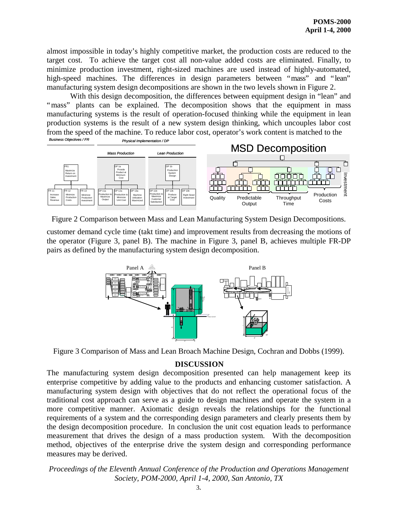almost impossible in today's highly competitive market, the production costs are reduced to the target cost. To achieve the target cost all non-value added costs are eliminated. Finally, to minimize production investment, right-sized machines are used instead of highly-automated, high-speed machines. The differences in design parameters between "mass" and "lean" manufacturing system design decompositions are shown in the two levels shown in Figure 2.

With this design decomposition, the differences between equipment design in "lean" and "mass" plants can be explained. The decomposition shows that the equipment in mass manufacturing systems is the result of operation-focused thinking while the equipment in lean production systems is the result of a new system design thinking, which uncouples labor cost from the speed of the machine. To reduce labor cost, operator's work content is matched to the<br>  $\frac{P_{\text{DWS}}}{P_{\text{DWS}}/P_{\text{F}}P_{\text{DWS}}}$ 



Figure 2 Comparison between Mass and Lean Manufacturing System Design Decompositions.

customer demand cycle time (takt time) and improvement results from decreasing the motions of the operator (Figure 3, panel B). The machine in Figure 3, panel B, achieves multiple FR-DP pairs as defined by the manufacturing system design decomposition.



Figure 3 Comparison of Mass and Lean Broach Machine Design, Cochran and Dobbs (1999).

## **DISCUSSION**

The manufacturing system design decomposition presented can help management keep its enterprise competitive by adding value to the products and enhancing customer satisfaction. A manufacturing system design with objectives that do not reflect the operational focus of the traditional cost approach can serve as a guide to design machines and operate the system in a more competitive manner. Axiomatic design reveals the relationships for the functional requirements of a system and the corresponding design parameters and clearly presents them by the design decomposition procedure. In conclusion the unit cost equation leads to performance measurement that drives the design of a mass production system. With the decomposition method, objectives of the enterprise drive the system design and corresponding performance measures may be derived.